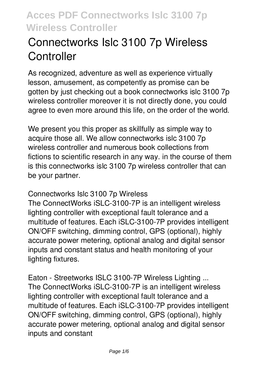# **Connectworks Islc 3100 7p Wireless Controller**

As recognized, adventure as well as experience virtually lesson, amusement, as competently as promise can be gotten by just checking out a book **connectworks islc 3100 7p wireless controller** moreover it is not directly done, you could agree to even more around this life, on the order of the world.

We present you this proper as skillfully as simple way to acquire those all. We allow connectworks islc 3100 7p wireless controller and numerous book collections from fictions to scientific research in any way. in the course of them is this connectworks islc 3100 7p wireless controller that can be your partner.

#### *Connectworks Islc 3100 7p Wireless*

The ConnectWorks iSLC-3100-7P is an intelligent wireless lighting controller with exceptional fault tolerance and a multitude of features. Each iSLC-3100-7P provides intelligent ON/OFF switching, dimming control, GPS (optional), highly accurate power metering, optional analog and digital sensor inputs and constant status and health monitoring of your lighting fixtures.

*Eaton - Streetworks ISLC 3100-7P Wireless Lighting ...* The ConnectWorks iSLC-3100-7P is an intelligent wireless lighting controller with exceptional fault tolerance and a multitude of features. Each iSLC-3100-7P provides intelligent ON/OFF switching, dimming control, GPS (optional), highly accurate power metering, optional analog and digital sensor inputs and constant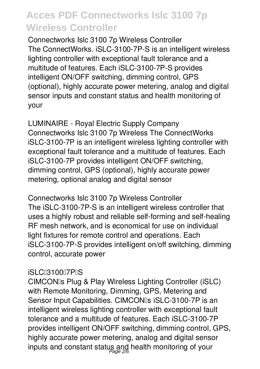*Connectworks Islc 3100 7p Wireless Controller* The ConnectWorks. iSLC-3100-7P-S is an intelligent wireless lighting controller with exceptional fault tolerance and a multitude of features. Each iSLC-3100-7P-S provides intelligent ON/OFF switching, dimming control, GPS (optional), highly accurate power metering, analog and digital sensor inputs and constant status and health monitoring of your

*LUMINAIRE - Royal Electric Supply Company* Connectworks Islc 3100 7p Wireless The ConnectWorks iSLC-3100-7P is an intelligent wireless lighting controller with exceptional fault tolerance and a multitude of features. Each iSLC-3100-7P provides intelligent ON/OFF switching, dimming control, GPS (optional), highly accurate power metering, optional analog and digital sensor

*Connectworks Islc 3100 7p Wireless Controller* The iSLC-3100-7P-S is an intelligent wireless controller that uses a highly robust and reliable self-forming and self-healing RF mesh network, and is economical for use on individual light fixtures for remote control and operations. Each iSLC-3100-7P-S provides intelligent on/off switching, dimming control, accurate power

#### *iSLC‐3100‐7P‐S*

CIMCON's Plug & Play Wireless Lighting Controller (iSLC) with Remote Monitoring, Dimming, GPS, Metering and Sensor Input Capabilities. CIMCONIs iSLC-3100-7P is an intelligent wireless lighting controller with exceptional fault tolerance and a multitude of features. Each iSLC-3100-7P provides intelligent ON/OFF switching, dimming control, GPS, highly accurate power metering, analog and digital sensor inputs and constant status and health monitoring of your Page 2/6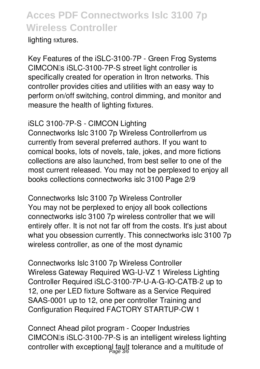lighting fixtures.

*Key Features of the iSLC-3100-7P - Green Frog Systems* CIMCON<sub>IS</sub> iSLC-3100-7P-S street light controller is specifically created for operation in Itron networks. This controller provides cities and utilities with an easy way to perform on/off switching, control dimming, and monitor and measure the health of lighting fixtures.

#### *iSLC 3100-7P-S - CIMCON Lighting*

Connectworks Islc 3100 7p Wireless Controllerfrom us currently from several preferred authors. If you want to comical books, lots of novels, tale, jokes, and more fictions collections are also launched, from best seller to one of the most current released. You may not be perplexed to enjoy all books collections connectworks islc 3100 Page 2/9

*Connectworks Islc 3100 7p Wireless Controller* You may not be perplexed to enjoy all book collections connectworks islc 3100 7p wireless controller that we will entirely offer. It is not not far off from the costs. It's just about what you obsession currently. This connectworks islc 3100 7p wireless controller, as one of the most dynamic

*Connectworks Islc 3100 7p Wireless Controller* Wireless Gateway Required WG-U-VZ 1 Wireless Lighting Controller Required iSLC-3100-7P-U-A-G-IO-CATB-2 up to 12, one per LED fixture Software as a Service Required SAAS-0001 up to 12, one per controller Training and Configuration Required FACTORY STARTUP-CW 1

*Connect Ahead pilot program - Cooper Industries* CIMCONIs iSLC-3100-7P-S is an intelligent wireless lighting controller with exceptional fault tolerance and a multitude of Page 3/6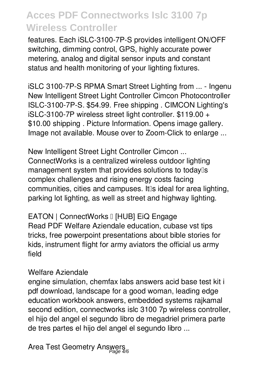features. Each iSLC-3100-7P-S provides intelligent ON/OFF switching, dimming control, GPS, highly accurate power metering, analog and digital sensor inputs and constant status and health monitoring of your lighting fixtures.

*iSLC 3100-7P-S RPMA Smart Street Lighting from ... - Ingenu* New Intelligent Street Light Controller Cimcon Photocontroller ISLC-3100-7P-S. \$54.99. Free shipping . CIMCON Lighting's iSLC-3100-7P wireless street light controller. \$119.00 + \$10.00 shipping . Picture Information. Opens image gallery. Image not available. Mouse over to Zoom-Click to enlarge ...

*New Intelligent Street Light Controller Cimcon ...* ConnectWorks is a centralized wireless outdoor lighting management system that provides solutions to today<sup>[]</sup>s complex challenges and rising energy costs facing communities, cities and campuses. It is ideal for area lighting, parking lot lighting, as well as street and highway lighting.

*EATON | ConnectWorks – [HUB] EiQ Engage* Read PDF Welfare Aziendale education, cubase vst tips tricks, free powerpoint presentations about bible stories for kids, instrument flight for army aviators the official us army field

#### *Welfare Aziendale*

engine simulation, chemfax labs answers acid base test kit i pdf download, landscape for a good woman, leading edge education workbook answers, embedded systems rajkamal second edition, connectworks islc 3100 7p wireless controller, el hijo del angel el segundo libro de megadriel primera parte de tres partes el hijo del angel el segundo libro ...

*Area Test Geometry Answers* Page 4/6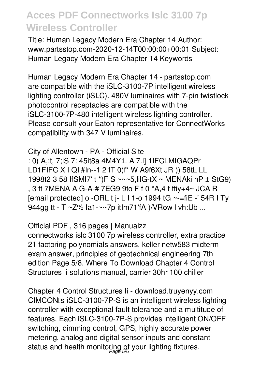Title: Human Legacy Modern Era Chapter 14 Author: www.partsstop.com-2020-12-14T00:00:00+00:01 Subject: Human Legacy Modern Era Chapter 14 Keywords

Human Legacy Modern Era Chapter 14 - partsstop.com are compatible with the iSLC-3100-7P intelligent wireless lighting controller (iSLC). 480V luminaires with 7-pin twistlock photocontrol receptacles are compatible with the iSLC-3100-7P-480 intelligent wireless lighting controller. Please consult your Eaton representative for ConnectWorks compatibility with 347 V luminaires.

City of Allentown - PA - Official Site : 0) A,:t, 7;iS 7: 45it8a 4M4Y:L A 7.I] 1IFCLMIGAQPr LD1FIFC X I Qli#In--1 2 fT 0)f\* W A9f6Xt JR )) 58tL LL 1998t2 3 58 IfSMI7' t \*)F S ~~~5, lilG-tX ~ MENAki hP ± StG9) , 3 ft 7MENA A G-A-# 7EG9 9to F f 0 \*A,4 f ffiy+4~ JCA R [email protected] o -ORL t j- L I 1-o 1994 tG ~-= fiE -' 54R I Ty 944gg tt - T ~Z% la1-~~7p itlm71'fA )/VRow I vh:Ub ...

#### Official PDF, 316 pages | Manualzz

connectworks islc 3100 7p wireless controller, extra practice 21 factoring polynomials answers, keller netw583 midterm exam answer, principles of geotechnical engineering 7th edition Page 5/8. Where To Download Chapter 4 Control Structures li solutions manual, carrier 30hr 100 chiller

Chapter 4 Control Structures Ii - download.truyenyy.com CIMCONIs iSLC-3100-7P-S is an intelligent wireless lighting controller with exceptional fault tolerance and a multitude of features. Each iSLC-3100-7P-S provides intelligent ON/OFF switching, dimming control, GPS, highly accurate power metering, analog and digital sensor inputs and constant status and health monitoring of your lighting fixtures.